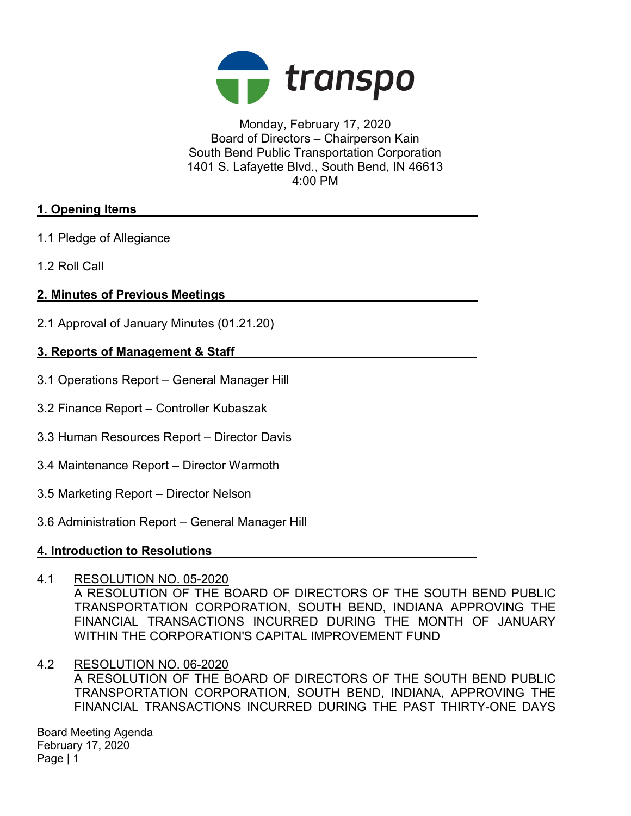

Monday, February 17, 2020 Board of Directors – Chairperson Kain South Bend Public Transportation Corporation 1401 S. Lafayette Blvd., South Bend, IN 46613 4:00 PM

### 1. Opening Items

- 1.1 Pledge of Allegiance
- 1.2 Roll Call

# 2. Minutes of Previous Meetings

2.1 Approval of January Minutes (01.21.20)

### 3. Reports of Management & Staff

- 3.1 Operations Report General Manager Hill
- 3.2 Finance Report Controller Kubaszak
- 3.3 Human Resources Report Director Davis
- 3.4 Maintenance Report Director Warmoth
- 3.5 Marketing Report Director Nelson
- 3.6 Administration Report General Manager Hill

#### 4. Introduction to Resolutions

- 4.1 RESOLUTION NO. 05-2020 A RESOLUTION OF THE BOARD OF DIRECTORS OF THE SOUTH BEND PUBLIC TRANSPORTATION CORPORATION, SOUTH BEND, INDIANA APPROVING THE FINANCIAL TRANSACTIONS INCURRED DURING THE MONTH OF JANUARY WITHIN THE CORPORATION'S CAPITAL IMPROVEMENT FUND
- 4.2 RESOLUTION NO. 06-2020 A RESOLUTION OF THE BOARD OF DIRECTORS OF THE SOUTH BEND PUBLIC TRANSPORTATION CORPORATION, SOUTH BEND, INDIANA, APPROVING THE FINANCIAL TRANSACTIONS INCURRED DURING THE PAST THIRTY-ONE DAYS

Board Meeting Agenda February 17, 2020 Page | 1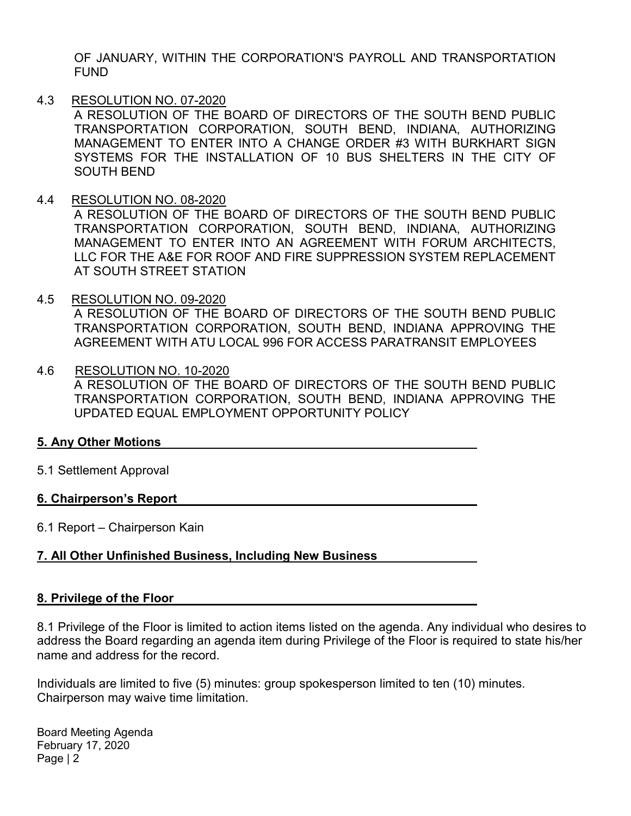OF JANUARY, WITHIN THE CORPORATION'S PAYROLL AND TRANSPORTATION FUND

4.3 RESOLUTION NO. 07-2020

A RESOLUTION OF THE BOARD OF DIRECTORS OF THE SOUTH BEND PUBLIC TRANSPORTATION CORPORATION, SOUTH BEND, INDIANA, AUTHORIZING MANAGEMENT TO ENTER INTO A CHANGE ORDER #3 WITH BURKHART SIGN SYSTEMS FOR THE INSTALLATION OF 10 BUS SHELTERS IN THE CITY OF SOUTH BEND

4.4 RESOLUTION NO. 08-2020

A RESOLUTION OF THE BOARD OF DIRECTORS OF THE SOUTH BEND PUBLIC TRANSPORTATION CORPORATION, SOUTH BEND, INDIANA, AUTHORIZING MANAGEMENT TO ENTER INTO AN AGREEMENT WITH FORUM ARCHITECTS, LLC FOR THE A&E FOR ROOF AND FIRE SUPPRESSION SYSTEM REPLACEMENT AT SOUTH STREET STATION

4.5 RESOLUTION NO. 09-2020

A RESOLUTION OF THE BOARD OF DIRECTORS OF THE SOUTH BEND PUBLIC TRANSPORTATION CORPORATION, SOUTH BEND, INDIANA APPROVING THE AGREEMENT WITH ATU LOCAL 996 FOR ACCESS PARATRANSIT EMPLOYEES

4.6 RESOLUTION NO. 10-2020 A RESOLUTION OF THE BOARD OF DIRECTORS OF THE SOUTH BEND PUBLIC TRANSPORTATION CORPORATION, SOUTH BEND, INDIANA APPROVING THE UPDATED EQUAL EMPLOYMENT OPPORTUNITY POLICY

# 5. Any Other Motions

5.1 Settlement Approval

#### 6. Chairperson's Report

6.1 Report – Chairperson Kain

# 7. All Other Unfinished Business, Including New Business

#### 8. Privilege of the Floor

8.1 Privilege of the Floor is limited to action items listed on the agenda. Any individual who desires to address the Board regarding an agenda item during Privilege of the Floor is required to state his/her name and address for the record.

Individuals are limited to five (5) minutes: group spokesperson limited to ten (10) minutes. Chairperson may waive time limitation.

Board Meeting Agenda February 17, 2020 Page | 2